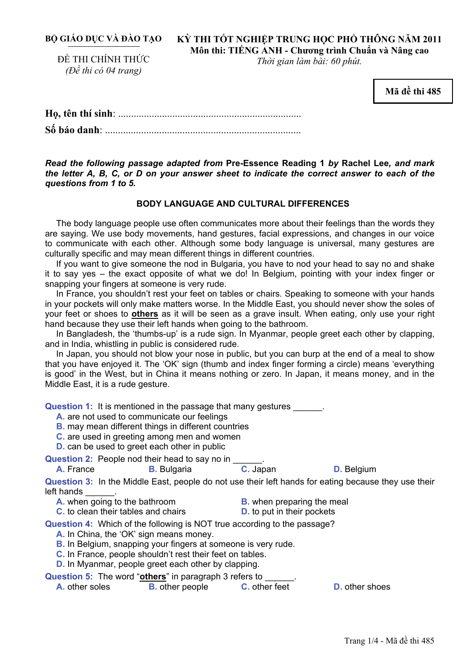**BỘ GIÁO DỤC VÀ ĐÀO TẠO** 

ĐỀ THI CHÍNH THỨC *(Đề thi có 04 trang)* 

**KỲ THI TỐT NGHIỆP TRUNG HỌC PHỔ THÔNG NĂM 2011 Môn thi: TIẾNG ANH - Chương trình Chuẩn và Nâng cao** 

*Thời gian làm bài: 60 phút.* 

**Mã đề thi 485** 

*Read the following passage adapted from* **Pre-Essence Reading 1** *by* **Rachel Lee***, and mark the letter A, B, C, or D on your answer sheet to indicate the correct answer to each of the questions from 1 to 5.* 

# **BODY LANGUAGE AND CULTURAL DIFFERENCES**

The body language people use often communicates more about their feelings than the words they are saying. We use body movements, hand gestures, facial expressions, and changes in our voice to communicate with each other. Although some body language is universal, many gestures are culturally specific and may mean different things in different countries.

If you want to give someone the nod in Bulgaria, you have to nod your head to say no and shake it to say yes – the exact opposite of what we do! In Belgium, pointing with your index finger or snapping your fingers at someone is very rude.

In France, you shouldn't rest your feet on tables or chairs. Speaking to someone with your hands in your pockets will only make matters worse. In the Middle East, you should never show the soles of your feet or shoes to **others** as it will be seen as a grave insult. When eating, only use your right hand because they use their left hands when going to the bathroom.

In Bangladesh, the 'thumbs-up' is a rude sign. In Myanmar, people greet each other by clapping, and in India, whistling in public is considered rude.

In Japan, you should not blow your nose in public, but you can burp at the end of a meal to show that you have enjoyed it. The 'OK' sign (thumb and index finger forming a circle) means 'everything is good' in the West, but in China it means nothing or zero. In Japan, it means money, and in the Middle East, it is a rude gesture.

**Question 1:** It is mentioned in the passage that many gestures

**A.** are not used to communicate our feelings

**B.** may mean different things in different countries

- **C.** are used in greeting among men and women
- **D.** can be used to greet each other in public

**Question 2: People nod their head to say no in A.** France **B.** Bulgaria **C.** Japan **D.** Belgium

**Question 3:** In the Middle East, people do not use their left hands for eating because they use their left hands

- **A.** when going to the bathroom **B.** when preparing the meal
- **C.** to clean their tables and chairs **D.** to put in their pockets

**Question 4:** Which of the following is NOT true according to the passage?

**A.** In China, the 'OK' sign means money.

- **B.** In Belgium, snapping your fingers at someone is very rude.
- **C.** In France, people shouldn't rest their feet on tables.
- **D.** In Myanmar, people greet each other by clapping.

**Question 5:** The word "**others**" in paragraph 3 refers to \_\_\_\_\_\_.

| <b>A.</b> other soles | <b>B.</b> other people | C. other feet | <b>D.</b> other shoes |
|-----------------------|------------------------|---------------|-----------------------|
|-----------------------|------------------------|---------------|-----------------------|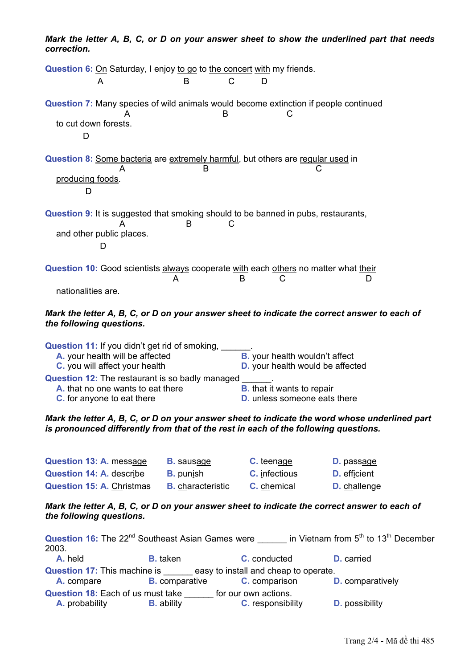| Mark the letter A, B, C, or D on your answer sheet to show the underlined part that needs<br>correction.                 |   |   |   |                                                                           |   |  |
|--------------------------------------------------------------------------------------------------------------------------|---|---|---|---------------------------------------------------------------------------|---|--|
| Question 6: On Saturday, I enjoy to go to the concert with my friends.                                                   |   |   |   |                                                                           |   |  |
| A                                                                                                                        | B | C | D |                                                                           |   |  |
| Question 7: Many species of wild animals would become extinction if people continued<br>А<br>to cut down forests.<br>D   |   |   |   |                                                                           |   |  |
| Question 8: Some bacteria are extremely harmful, but others are regular used in                                          |   |   |   |                                                                           |   |  |
|                                                                                                                          | B |   |   | С                                                                         |   |  |
| producing foods.                                                                                                         |   |   |   |                                                                           |   |  |
| D                                                                                                                        |   |   |   |                                                                           |   |  |
| Question 9: It is suggested that smoking should to be banned in pubs, restaurants,<br>and other public places.<br>D      |   |   |   |                                                                           |   |  |
| Question 10: Good scientists always cooperate with each others no matter what their                                      | A |   |   | C                                                                         | D |  |
| nationalities are.                                                                                                       |   |   |   |                                                                           |   |  |
| Mark the letter A, B, C, or D on your answer sheet to indicate the correct answer to each of<br>the following questions. |   |   |   |                                                                           |   |  |
| Question 11: If you didn't get rid of smoking,<br>A. your health will be affected<br>C. you will affect your health      |   |   |   | <b>B.</b> your health wouldn't affect<br>D. your health would be affected |   |  |
| <b>Question 12:</b> The restaurant is so badly managed                                                                   |   |   |   |                                                                           |   |  |
| A. that no one wants to eat there<br><b>C.</b> for anyone to eat there                                                   |   |   |   | <b>B.</b> that it wants to repair<br><b>D.</b> unless someone eats there  |   |  |
|                                                                                                                          |   |   |   |                                                                           |   |  |

*Mark the letter A, B, C, or D on your answer sheet to indicate the word whose underlined part is pronounced differently from that of the rest in each of the following questions.* 

| Question 13: A. message          | <b>B.</b> sausage        | C. teenage           | D. passage          |
|----------------------------------|--------------------------|----------------------|---------------------|
| <b>Question 14: A. describe</b>  | <b>B.</b> punish         | <b>C.</b> infectious | <b>D.</b> efficient |
| <b>Question 15: A. Christmas</b> | <b>B.</b> characteristic | C. chemical          | D. challenge        |

# *Mark the letter A, B, C, or D on your answer sheet to indicate the correct answer to each of the following questions.*

| Question 16: The 22 <sup>nd</sup> Southeast Asian Games were<br>2003.        |                       |                          | in Vietnam from $5th$ to 13 <sup>th</sup> December |  |  |
|------------------------------------------------------------------------------|-----------------------|--------------------------|----------------------------------------------------|--|--|
| A. held                                                                      | <b>B.</b> taken       | C. conducted             | <b>D.</b> carried                                  |  |  |
| <b>Question 17: This machine is</b><br>easy to install and cheap to operate. |                       |                          |                                                    |  |  |
| A. compare                                                                   | <b>B.</b> comparative | <b>C.</b> comparison     | <b>D.</b> comparatively                            |  |  |
| <b>Question 18: Each of us must take</b>                                     |                       | for our own actions.     |                                                    |  |  |
| A. probability                                                               | <b>B.</b> ability     | <b>C.</b> responsibility | <b>D.</b> possibility                              |  |  |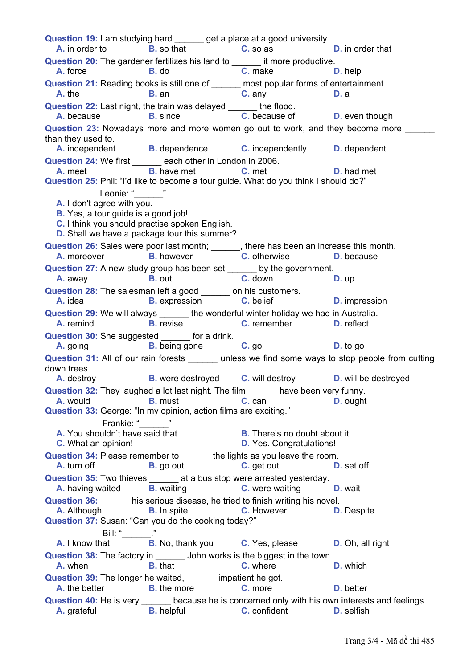**Question 19:** I am studying hard \_\_\_\_\_\_ get a place at a good university.<br>**A.** in order to **B.** so that **C.** so as **A.** in order to **B.** so that **C.** so as **D.** in order that **Question 20:** The gardener fertilizes his land to \_\_\_\_\_\_ it more productive. **A.** force **B.** do **C.** make **D.** help **Question 21:** Reading books is still one of \_\_\_\_\_\_ most popular forms of entertainment. **A.** the **B.** an **C.** any **D.** a **Question 22:** Last night, the train was delayed \_\_\_\_\_\_ the flood. **A.** because **B.** since **B.** since **C.** because of **D.** even though **Question 23:** Nowadays more and more women go out to work, and they become more than they used to. **A.** independent **B.** dependence **C.** independently **D.** dependent **Question 24: We first each other in London in 2006. A.** meet **B.** have met **C.** met **D.** had met **Question 25:** Phil: "I'd like to become a tour guide. What do you think I should do?" Leonie: "\_\_\_\_\_\_" **A.** I don't agree with you. **B.** Yes, a tour quide is a good job! **C.** I think you should practise spoken English. **D.** Shall we have a package tour this summer? **Question 26:** Sales were poor last month; \_\_\_\_\_\_, there has been an increase this month. **A.** moreover **B.** however **C.** otherwise **D.** because **Question 27:** A new study group has been set \_\_\_\_\_\_ by the government. **A.** away **B.** out **C.** down **D.** up **Question 28:** The salesman left a good \_\_\_\_\_\_ on his customers. **A.** idea **B.** expression **C.** belief **D.** impression **Question 29:** We will always \_\_\_\_\_\_ the wonderful winter holiday we had in Australia. **A. remind B. revise C. remember D. reflect Question 30:** She suggested \_\_\_\_\_\_ for a drink. **A.** going **B.** being gone **C.** go **D.** to go **Question 31:** All of our rain forests \_\_\_\_\_\_ unless we find some ways to stop people from cutting down trees. **A.** destroy **B.** were destroyed **C.** will destroy **D.** will be destroyed **Question 32:** They laughed a lot last night. The film \_\_\_\_\_\_ have been very funny. **A.** would **B.** must **C.** can **D.** ought **Question 33:** George: "In my opinion, action films are exciting." Frankie: "<sub>1</sub> **A.** You shouldn't have said that. **B.** There's no doubt about it. **C.** What an opinion! **D.** Yes. Congratulations! **Question 34:** Please remember to the lights as you leave the room. **A.** turn off **B.** go out **C.** get out **D.** set off **Question 35:** Two thieves \_\_\_\_\_\_ at a bus stop were arrested yesterday. **A.** having waited **B.** waiting **C.** were waiting **D.** wait **Question 36:** \_\_\_\_\_\_ his serious disease, he tried to finish writing his novel. **A.** Although **B.** In spite **C.** However **D.** Despite **Question 37:** Susan: "Can you do the cooking today?" Bill: " $\qquad$ ." **A.** I know that **B.** No, thank you **C.** Yes, please **D.** Oh, all right **Question 38:** The factory in \_\_\_\_\_\_ John works is the biggest in the town. **A.** when **B.** that **C.** where **D.** which **Question 39:** The longer he waited, \_\_\_\_\_\_ impatient he got. **A.** the better **B.** the more **C.** more **D.** better **Question 40:** He is very \_\_\_\_\_\_ because he is concerned only with his own interests and feelings. **A.** grateful **B.** helpful **C.** confident **D.** selfish